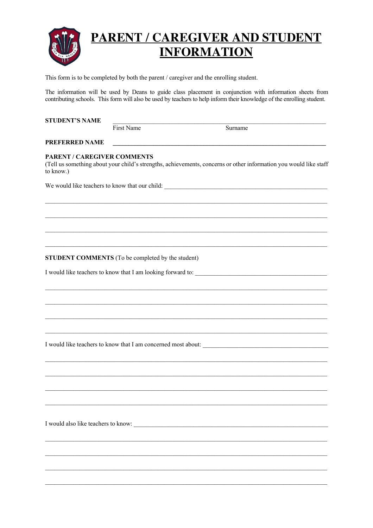

This form is to be completed by both the parent / caregiver and the enrolling student.

The information will be used by Deans to guide class placement in conjunction with information sheets from contributing schools. This form will also be used by teachers to help inform their knowledge of the enrolling student.

| <b>STUDENT'S NAME</b>                             |            |                                                                                                                   |  |  |  |  |
|---------------------------------------------------|------------|-------------------------------------------------------------------------------------------------------------------|--|--|--|--|
|                                                   | First Name | Surname                                                                                                           |  |  |  |  |
| PREFERRED NAME                                    |            |                                                                                                                   |  |  |  |  |
| <b>PARENT / CAREGIVER COMMENTS</b><br>to know.)   |            | (Tell us something about your child's strengths, achievements, concerns or other information you would like staff |  |  |  |  |
|                                                   |            | We would like teachers to know that our child:                                                                    |  |  |  |  |
|                                                   |            |                                                                                                                   |  |  |  |  |
|                                                   |            |                                                                                                                   |  |  |  |  |
|                                                   |            |                                                                                                                   |  |  |  |  |
|                                                   |            |                                                                                                                   |  |  |  |  |
| STUDENT COMMENTS (To be completed by the student) |            |                                                                                                                   |  |  |  |  |
|                                                   |            |                                                                                                                   |  |  |  |  |
|                                                   |            |                                                                                                                   |  |  |  |  |
|                                                   |            |                                                                                                                   |  |  |  |  |
|                                                   |            |                                                                                                                   |  |  |  |  |
|                                                   |            |                                                                                                                   |  |  |  |  |
|                                                   |            | I would like teachers to know that I am concerned most about:                                                     |  |  |  |  |
|                                                   |            |                                                                                                                   |  |  |  |  |
|                                                   |            |                                                                                                                   |  |  |  |  |
|                                                   |            |                                                                                                                   |  |  |  |  |
|                                                   |            |                                                                                                                   |  |  |  |  |
|                                                   |            |                                                                                                                   |  |  |  |  |
|                                                   |            |                                                                                                                   |  |  |  |  |
|                                                   |            |                                                                                                                   |  |  |  |  |
|                                                   |            |                                                                                                                   |  |  |  |  |
|                                                   |            |                                                                                                                   |  |  |  |  |